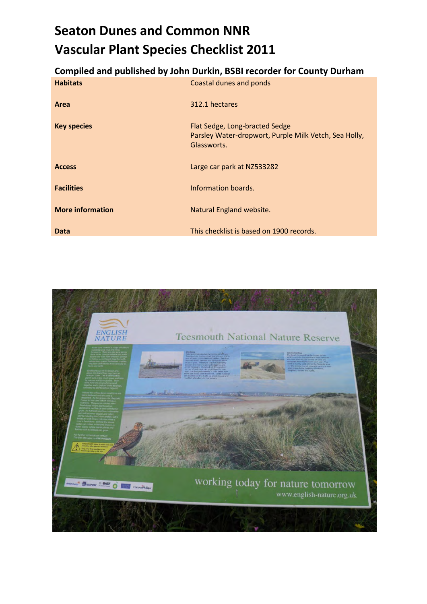## **Seaton Dunes and Common NNR Vascular Plant Species Checklist 2011**

## **Compiled and published by John Durkin, BSBI recorder for County Durham**

| <b>Habitats</b>         | Coastal dunes and ponds                                                                                |
|-------------------------|--------------------------------------------------------------------------------------------------------|
| Area                    | 312.1 hectares                                                                                         |
| <b>Key species</b>      | Flat Sedge, Long-bracted Sedge<br>Parsley Water-dropwort, Purple Milk Vetch, Sea Holly,<br>Glassworts. |
| <b>Access</b>           | Large car park at NZ533282                                                                             |
| <b>Facilities</b>       | Information boards.                                                                                    |
| <b>More information</b> | Natural England website.                                                                               |
| Data                    | This checklist is based on 1900 records.                                                               |

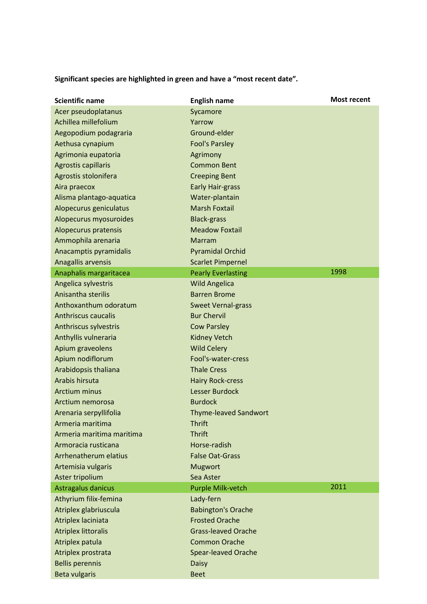| <b>Scientific name</b>     | <b>English name</b>          | <b>Most recent</b> |
|----------------------------|------------------------------|--------------------|
| Acer pseudoplatanus        | Sycamore                     |                    |
| Achillea millefolium       | Yarrow                       |                    |
| Aegopodium podagraria      | Ground-elder                 |                    |
| Aethusa cynapium           | <b>Fool's Parsley</b>        |                    |
| Agrimonia eupatoria        | Agrimony                     |                    |
| <b>Agrostis capillaris</b> | <b>Common Bent</b>           |                    |
| Agrostis stolonifera       | <b>Creeping Bent</b>         |                    |
| Aira praecox               | <b>Early Hair-grass</b>      |                    |
| Alisma plantago-aquatica   | Water-plantain               |                    |
| Alopecurus geniculatus     | <b>Marsh Foxtail</b>         |                    |
| Alopecurus myosuroides     | <b>Black-grass</b>           |                    |
| Alopecurus pratensis       | <b>Meadow Foxtail</b>        |                    |
| Ammophila arenaria         | <b>Marram</b>                |                    |
| Anacamptis pyramidalis     | <b>Pyramidal Orchid</b>      |                    |
| Anagallis arvensis         | <b>Scarlet Pimpernel</b>     |                    |
| Anaphalis margaritacea     | <b>Pearly Everlasting</b>    | 1998               |
| Angelica sylvestris        | <b>Wild Angelica</b>         |                    |
| Anisantha sterilis         | <b>Barren Brome</b>          |                    |
| Anthoxanthum odoratum      | <b>Sweet Vernal-grass</b>    |                    |
| <b>Anthriscus caucalis</b> | <b>Bur Chervil</b>           |                    |
| Anthriscus sylvestris      | <b>Cow Parsley</b>           |                    |
| Anthyllis vulneraria       | <b>Kidney Vetch</b>          |                    |
| Apium graveolens           | <b>Wild Celery</b>           |                    |
| Apium nodiflorum           | Fool's-water-cress           |                    |
| Arabidopsis thaliana       | <b>Thale Cress</b>           |                    |
| Arabis hirsuta             | <b>Hairy Rock-cress</b>      |                    |
| <b>Arctium minus</b>       | Lesser Burdock               |                    |
| Arctium nemorosa           | <b>Burdock</b>               |                    |
| Arenaria serpyllifolia     | <b>Thyme-leaved Sandwort</b> |                    |
| Armeria maritima           | <b>Thrift</b>                |                    |
| Armeria maritima maritima  | <b>Thrift</b>                |                    |
| Armoracia rusticana        | Horse-radish                 |                    |
| Arrhenatherum elatius      | <b>False Oat-Grass</b>       |                    |
| Artemisia vulgaris         | <b>Mugwort</b>               |                    |
| Aster tripolium            | Sea Aster                    |                    |
| Astragalus danicus         | Purple Milk-vetch            | 2011               |
| Athyrium filix-femina      | Lady-fern                    |                    |
| Atriplex glabriuscula      | <b>Babington's Orache</b>    |                    |
| Atriplex laciniata         | <b>Frosted Orache</b>        |                    |
| <b>Atriplex littoralis</b> | <b>Grass-leaved Orache</b>   |                    |
| Atriplex patula            | <b>Common Orache</b>         |                    |
| Atriplex prostrata         | <b>Spear-leaved Orache</b>   |                    |
| <b>Bellis perennis</b>     | <b>Daisy</b>                 |                    |
| <b>Beta vulgaris</b>       | <b>Beet</b>                  |                    |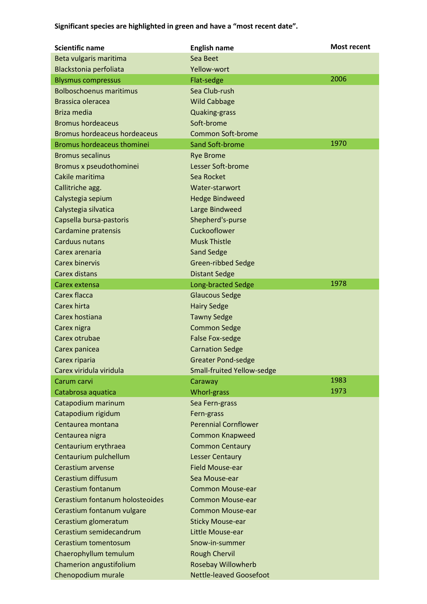| <b>Scientific name</b>              | <b>English name</b>               | <b>Most recent</b> |
|-------------------------------------|-----------------------------------|--------------------|
| Beta vulgaris maritima              | Sea Beet                          |                    |
| Blackstonia perfoliata              | Yellow-wort                       |                    |
| <b>Blysmus compressus</b>           | Flat-sedge                        | 2006               |
| <b>Bolboschoenus maritimus</b>      | Sea Club-rush                     |                    |
| Brassica oleracea                   | <b>Wild Cabbage</b>               |                    |
| <b>Briza media</b>                  | <b>Quaking-grass</b>              |                    |
| <b>Bromus hordeaceus</b>            | Soft-brome                        |                    |
| <b>Bromus hordeaceus hordeaceus</b> | <b>Common Soft-brome</b>          |                    |
| <b>Bromus hordeaceus thominei</b>   | Sand Soft-brome                   | 1970               |
| <b>Bromus secalinus</b>             | <b>Rye Brome</b>                  |                    |
| Bromus x pseudothominei             | Lesser Soft-brome                 |                    |
| Cakile maritima                     | Sea Rocket                        |                    |
| Callitriche agg.                    | Water-starwort                    |                    |
| Calystegia sepium                   | <b>Hedge Bindweed</b>             |                    |
| Calystegia silvatica                | Large Bindweed                    |                    |
| Capsella bursa-pastoris             | Shepherd's-purse                  |                    |
| Cardamine pratensis                 | Cuckooflower                      |                    |
| <b>Carduus nutans</b>               | <b>Musk Thistle</b>               |                    |
| Carex arenaria                      | <b>Sand Sedge</b>                 |                    |
| <b>Carex binervis</b>               | <b>Green-ribbed Sedge</b>         |                    |
| <b>Carex distans</b>                | <b>Distant Sedge</b>              |                    |
| Carex extensa                       | Long-bracted Sedge                | 1978               |
| Carex flacca                        | <b>Glaucous Sedge</b>             |                    |
| Carex hirta                         | <b>Hairy Sedge</b>                |                    |
| Carex hostiana                      | <b>Tawny Sedge</b>                |                    |
| Carex nigra                         | <b>Common Sedge</b>               |                    |
| Carex otrubae                       | <b>False Fox-sedge</b>            |                    |
| Carex panicea                       | <b>Carnation Sedge</b>            |                    |
| Carex riparia                       | <b>Greater Pond-sedge</b>         |                    |
| Carex viridula viridula             | <b>Small-fruited Yellow-sedge</b> |                    |
| Carum carvi                         | Caraway                           | 1983               |
| Catabrosa aquatica                  | <b>Whorl-grass</b>                | 1973               |
| Catapodium marinum                  | Sea Fern-grass                    |                    |
| Catapodium rigidum                  | Fern-grass                        |                    |
| Centaurea montana                   | <b>Perennial Cornflower</b>       |                    |
| Centaurea nigra                     | <b>Common Knapweed</b>            |                    |
| Centaurium erythraea                | <b>Common Centaury</b>            |                    |
| Centaurium pulchellum               | <b>Lesser Centaury</b>            |                    |
| Cerastium arvense                   | <b>Field Mouse-ear</b>            |                    |
| Cerastium diffusum                  | Sea Mouse-ear                     |                    |
| Cerastium fontanum                  | <b>Common Mouse-ear</b>           |                    |
| Cerastium fontanum holosteoides     | <b>Common Mouse-ear</b>           |                    |
| Cerastium fontanum vulgare          | <b>Common Mouse-ear</b>           |                    |
| Cerastium glomeratum                | <b>Sticky Mouse-ear</b>           |                    |
| Cerastium semidecandrum             | Little Mouse-ear                  |                    |
| Cerastium tomentosum                | Snow-in-summer                    |                    |
| Chaerophyllum temulum               | <b>Rough Chervil</b>              |                    |
| Chamerion angustifolium             | Rosebay Willowherb                |                    |
| Chenopodium murale                  | <b>Nettle-leaved Goosefoot</b>    |                    |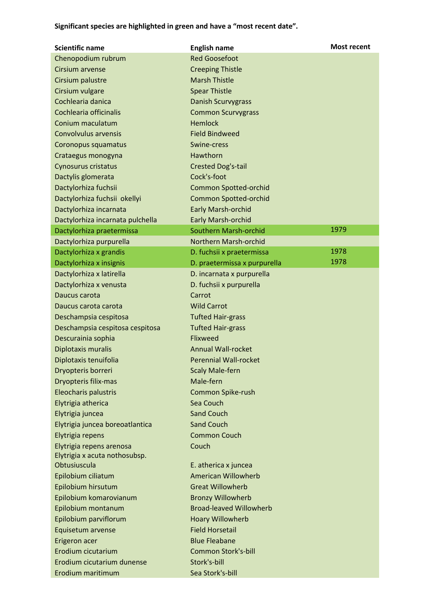| <b>Scientific name</b>           | <b>English name</b>            | <b>Most recent</b> |
|----------------------------------|--------------------------------|--------------------|
| Chenopodium rubrum               | <b>Red Goosefoot</b>           |                    |
| <b>Cirsium arvense</b>           | <b>Creeping Thistle</b>        |                    |
| Cirsium palustre                 | <b>Marsh Thistle</b>           |                    |
| Cirsium vulgare                  | <b>Spear Thistle</b>           |                    |
| Cochlearia danica                | <b>Danish Scurvygrass</b>      |                    |
| Cochlearia officinalis           | <b>Common Scurvygrass</b>      |                    |
| Conium maculatum                 | <b>Hemlock</b>                 |                    |
| <b>Convolvulus arvensis</b>      | <b>Field Bindweed</b>          |                    |
| Coronopus squamatus              | Swine-cress                    |                    |
| Crataegus monogyna               | Hawthorn                       |                    |
| Cynosurus cristatus              | <b>Crested Dog's-tail</b>      |                    |
| Dactylis glomerata               | Cock's-foot                    |                    |
| Dactylorhiza fuchsii             | <b>Common Spotted-orchid</b>   |                    |
| Dactylorhiza fuchsii okellyi     | <b>Common Spotted-orchid</b>   |                    |
| Dactylorhiza incarnata           | <b>Early Marsh-orchid</b>      |                    |
| Dactylorhiza incarnata pulchella | <b>Early Marsh-orchid</b>      |                    |
| Dactylorhiza praetermissa        | Southern Marsh-orchid          | 1979               |
| Dactylorhiza purpurella          | <b>Northern Marsh-orchid</b>   |                    |
| Dactylorhiza x grandis           | D. fuchsii x praetermissa      | 1978               |
| Dactylorhiza x insignis          | D. praetermissa x purpurella   | 1978               |
| Dactylorhiza x latirella         | D. incarnata x purpurella      |                    |
| Dactylorhiza x venusta           | D. fuchsii x purpurella        |                    |
| Daucus carota                    | Carrot                         |                    |
| Daucus carota carota             | <b>Wild Carrot</b>             |                    |
| Deschampsia cespitosa            | <b>Tufted Hair-grass</b>       |                    |
| Deschampsia cespitosa cespitosa  | <b>Tufted Hair-grass</b>       |                    |
| Descurainia sophia               | Flixweed                       |                    |
| Diplotaxis muralis               | <b>Annual Wall-rocket</b>      |                    |
| Diplotaxis tenuifolia            | <b>Perennial Wall-rocket</b>   |                    |
| Dryopteris borreri               | <b>Scaly Male-fern</b>         |                    |
| Dryopteris filix-mas             | Male-fern                      |                    |
| Eleocharis palustris             | <b>Common Spike-rush</b>       |                    |
| Elytrigia atherica               | Sea Couch                      |                    |
| Elytrigia juncea                 | <b>Sand Couch</b>              |                    |
| Elytrigia juncea boreoatlantica  | <b>Sand Couch</b>              |                    |
| Elytrigia repens                 | <b>Common Couch</b>            |                    |
| Elytrigia repens arenosa         | Couch                          |                    |
| Elytrigia x acuta nothosubsp.    |                                |                    |
| Obtusiuscula                     | E. atherica x juncea           |                    |
| Epilobium ciliatum               | <b>American Willowherb</b>     |                    |
| Epilobium hirsutum               | <b>Great Willowherb</b>        |                    |
| Epilobium komarovianum           | <b>Bronzy Willowherb</b>       |                    |
| Epilobium montanum               | <b>Broad-leaved Willowherb</b> |                    |
| Epilobium parviflorum            | <b>Hoary Willowherb</b>        |                    |
| Equisetum arvense                | <b>Field Horsetail</b>         |                    |
| Erigeron acer                    | <b>Blue Fleabane</b>           |                    |
| Erodium cicutarium               | <b>Common Stork's-bill</b>     |                    |
| Erodium cicutarium dunense       | Stork's-bill                   |                    |
| Erodium maritimum                | Sea Stork's-bill               |                    |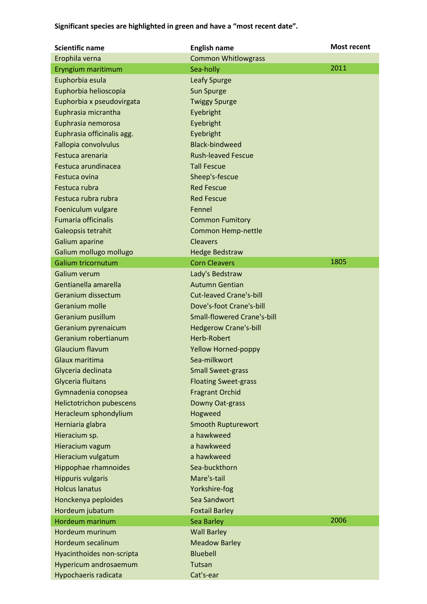| <b>Scientific name</b>          | <b>English name</b>                | <b>Most recent</b> |
|---------------------------------|------------------------------------|--------------------|
| Erophila verna                  | <b>Common Whitlowgrass</b>         |                    |
| Eryngium maritimum              | Sea-holly                          | 2011               |
| Euphorbia esula                 | <b>Leafy Spurge</b>                |                    |
| Euphorbia helioscopia           | Sun Spurge                         |                    |
| Euphorbia x pseudovirgata       | <b>Twiggy Spurge</b>               |                    |
| Euphrasia micrantha             | Eyebright                          |                    |
| Euphrasia nemorosa              | Eyebright                          |                    |
| Euphrasia officinalis agg.      | Eyebright                          |                    |
| Fallopia convolvulus            | <b>Black-bindweed</b>              |                    |
| Festuca arenaria                | <b>Rush-leaved Fescue</b>          |                    |
| Festuca arundinacea             | <b>Tall Fescue</b>                 |                    |
| Festuca ovina                   | Sheep's-fescue                     |                    |
| Festuca rubra                   | <b>Red Fescue</b>                  |                    |
| Festuca rubra rubra             | <b>Red Fescue</b>                  |                    |
| Foeniculum vulgare              | Fennel                             |                    |
| <b>Fumaria officinalis</b>      | <b>Common Fumitory</b>             |                    |
| Galeopsis tetrahit              | <b>Common Hemp-nettle</b>          |                    |
| Galium aparine                  | <b>Cleavers</b>                    |                    |
| Galium mollugo mollugo          | <b>Hedge Bedstraw</b>              |                    |
| <b>Galium tricornutum</b>       | <b>Corn Cleavers</b>               | 1805               |
| Galium verum                    | Lady's Bedstraw                    |                    |
| Gentianella amarella            | <b>Autumn Gentian</b>              |                    |
| Geranium dissectum              | <b>Cut-leaved Crane's-bill</b>     |                    |
| Geranium molle                  | Dove's-foot Crane's-bill           |                    |
| Geranium pusillum               | <b>Small-flowered Crane's-bill</b> |                    |
| Geranium pyrenaicum             | <b>Hedgerow Crane's-bill</b>       |                    |
| Geranium robertianum            | Herb-Robert                        |                    |
| <b>Glaucium flavum</b>          | <b>Yellow Horned-poppy</b>         |                    |
| Glaux maritima                  | Sea-milkwort                       |                    |
| Glyceria declinata              | <b>Small Sweet-grass</b>           |                    |
| Glyceria fluitans               | <b>Floating Sweet-grass</b>        |                    |
| Gymnadenia conopsea             | <b>Fragrant Orchid</b>             |                    |
| <b>Helictotrichon pubescens</b> | Downy Oat-grass                    |                    |
| Heracleum sphondylium           | Hogweed                            |                    |
| Herniaria glabra                | <b>Smooth Rupturewort</b>          |                    |
| Hieracium sp.                   | a hawkweed                         |                    |
| Hieracium vagum                 | a hawkweed                         |                    |
| Hieracium vulgatum              | a hawkweed                         |                    |
| Hippophae rhamnoides            | Sea-buckthorn                      |                    |
| <b>Hippuris vulgaris</b>        | Mare's-tail                        |                    |
| <b>Holcus lanatus</b>           | Yorkshire-fog                      |                    |
| Honckenya peploides             | Sea Sandwort                       |                    |
| Hordeum jubatum                 | <b>Foxtail Barley</b>              |                    |
| Hordeum marinum                 | Sea Barley                         | 2006               |
| <b>Hordeum murinum</b>          | <b>Wall Barley</b>                 |                    |
| Hordeum secalinum               | <b>Meadow Barley</b>               |                    |
| Hyacinthoides non-scripta       | <b>Bluebell</b>                    |                    |
| Hypericum androsaemum           | Tutsan                             |                    |
| Hypochaeris radicata            | Cat's-ear                          |                    |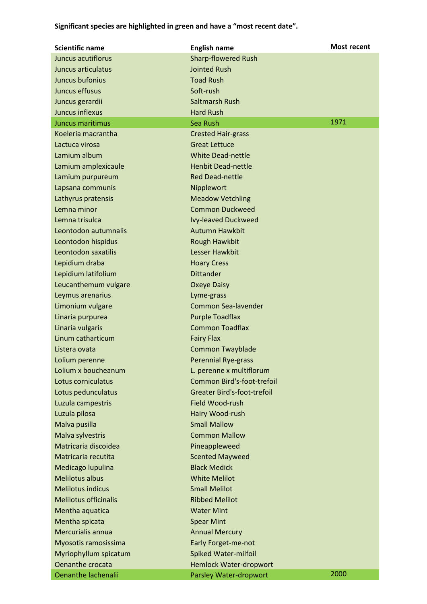| <b>Scientific name</b>       | <b>English name</b>                | <b>Most recent</b> |
|------------------------------|------------------------------------|--------------------|
| Juncus acutiflorus           | <b>Sharp-flowered Rush</b>         |                    |
| Juncus articulatus           | <b>Jointed Rush</b>                |                    |
| Juncus bufonius              | <b>Toad Rush</b>                   |                    |
| Juncus effusus               | Soft-rush                          |                    |
| Juncus gerardii              | Saltmarsh Rush                     |                    |
| Juncus inflexus              | <b>Hard Rush</b>                   |                    |
| <b>Juncus maritimus</b>      | Sea Rush                           | 1971               |
| Koeleria macrantha           | <b>Crested Hair-grass</b>          |                    |
| Lactuca virosa               | <b>Great Lettuce</b>               |                    |
| Lamium album                 | <b>White Dead-nettle</b>           |                    |
| Lamium amplexicaule          | <b>Henbit Dead-nettle</b>          |                    |
| Lamium purpureum             | <b>Red Dead-nettle</b>             |                    |
| Lapsana communis             | Nipplewort                         |                    |
| Lathyrus pratensis           | <b>Meadow Vetchling</b>            |                    |
| Lemna minor                  | <b>Common Duckweed</b>             |                    |
| Lemna trisulca               | <b>Ivy-leaved Duckweed</b>         |                    |
| Leontodon autumnalis         | <b>Autumn Hawkbit</b>              |                    |
| Leontodon hispidus           | Rough Hawkbit                      |                    |
| Leontodon saxatilis          | Lesser Hawkbit                     |                    |
| Lepidium draba               | <b>Hoary Cress</b>                 |                    |
| Lepidium latifolium          | <b>Dittander</b>                   |                    |
| Leucanthemum vulgare         | <b>Oxeye Daisy</b>                 |                    |
| Leymus arenarius             | Lyme-grass                         |                    |
| Limonium vulgare             | <b>Common Sea-lavender</b>         |                    |
| Linaria purpurea             | <b>Purple Toadflax</b>             |                    |
| Linaria vulgaris             | <b>Common Toadflax</b>             |                    |
| Linum catharticum            | <b>Fairy Flax</b>                  |                    |
| Listera ovata                | <b>Common Twayblade</b>            |                    |
| Lolium perenne               | <b>Perennial Rye-grass</b>         |                    |
| Lolium x boucheanum          | L. perenne x multiflorum           |                    |
| Lotus corniculatus           | Common Bird's-foot-trefoil         |                    |
| Lotus pedunculatus           | <b>Greater Bird's-foot-trefoil</b> |                    |
| Luzula campestris            | Field Wood-rush                    |                    |
| Luzula pilosa                | Hairy Wood-rush                    |                    |
| Malva pusilla                | <b>Small Mallow</b>                |                    |
| Malva sylvestris             | <b>Common Mallow</b>               |                    |
| Matricaria discoidea         | Pineappleweed                      |                    |
| Matricaria recutita          | <b>Scented Mayweed</b>             |                    |
| Medicago lupulina            | <b>Black Medick</b>                |                    |
| <b>Melilotus albus</b>       | <b>White Melilot</b>               |                    |
| <b>Melilotus indicus</b>     | <b>Small Melilot</b>               |                    |
| <b>Melilotus officinalis</b> | <b>Ribbed Melilot</b>              |                    |
| Mentha aquatica              | <b>Water Mint</b>                  |                    |
| Mentha spicata               | <b>Spear Mint</b>                  |                    |
| Mercurialis annua            | <b>Annual Mercury</b>              |                    |
| Myosotis ramosissima         | Early Forget-me-not                |                    |
| Myriophyllum spicatum        | Spiked Water-milfoil               |                    |
| Oenanthe crocata             | Hemlock Water-dropwort             |                    |
| <b>Oenanthe lachenalii</b>   | Parsley Water-dropwort             | 2000               |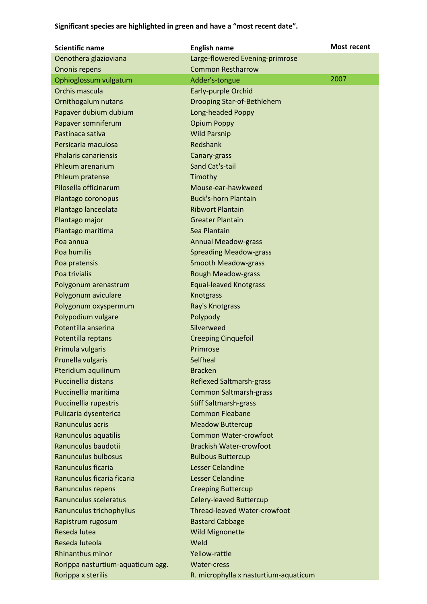| <b>Scientific name</b>            | <b>English name</b>                   | <b>Most recent</b> |
|-----------------------------------|---------------------------------------|--------------------|
| Oenothera glazioviana             | Large-flowered Evening-primrose       |                    |
| Ononis repens                     | <b>Common Restharrow</b>              |                    |
| Ophioglossum vulgatum             | Adder's-tongue                        | 2007               |
| Orchis mascula                    | Early-purple Orchid                   |                    |
| Ornithogalum nutans               | Drooping Star-of-Bethlehem            |                    |
| Papaver dubium dubium             | Long-headed Poppy                     |                    |
| Papaver somniferum                | <b>Opium Poppy</b>                    |                    |
| Pastinaca sativa                  | <b>Wild Parsnip</b>                   |                    |
| Persicaria maculosa               | Redshank                              |                    |
| <b>Phalaris canariensis</b>       | Canary-grass                          |                    |
| Phleum arenarium                  | Sand Cat's-tail                       |                    |
| Phleum pratense                   | Timothy                               |                    |
| Pilosella officinarum             | Mouse-ear-hawkweed                    |                    |
| Plantago coronopus                | <b>Buck's-horn Plantain</b>           |                    |
| Plantago lanceolata               | <b>Ribwort Plantain</b>               |                    |
| Plantago major                    | <b>Greater Plantain</b>               |                    |
| Plantago maritima                 | Sea Plantain                          |                    |
| Poa annua                         | <b>Annual Meadow-grass</b>            |                    |
| Poa humilis                       | <b>Spreading Meadow-grass</b>         |                    |
| Poa pratensis                     | <b>Smooth Meadow-grass</b>            |                    |
| Poa trivialis                     | Rough Meadow-grass                    |                    |
| Polygonum arenastrum              | <b>Equal-leaved Knotgrass</b>         |                    |
| Polygonum aviculare               | Knotgrass                             |                    |
| Polygonum oxyspermum              | Ray's Knotgrass                       |                    |
| Polypodium vulgare                | Polypody                              |                    |
| Potentilla anserina               | Silverweed                            |                    |
| Potentilla reptans                | <b>Creeping Cinquefoil</b>            |                    |
| Primula vulgaris                  | Primrose                              |                    |
| Prunella vulgaris                 | Selfheal                              |                    |
| Pteridium aquilinum               | <b>Bracken</b>                        |                    |
| Puccinellia distans               | <b>Reflexed Saltmarsh-grass</b>       |                    |
| Puccinellia maritima              | <b>Common Saltmarsh-grass</b>         |                    |
| Puccinellia rupestris             | <b>Stiff Saltmarsh-grass</b>          |                    |
| Pulicaria dysenterica             | <b>Common Fleabane</b>                |                    |
| Ranunculus acris                  | <b>Meadow Buttercup</b>               |                    |
| Ranunculus aquatilis              | <b>Common Water-crowfoot</b>          |                    |
| Ranunculus baudotii               | <b>Brackish Water-crowfoot</b>        |                    |
| Ranunculus bulbosus               | <b>Bulbous Buttercup</b>              |                    |
| Ranunculus ficaria                | <b>Lesser Celandine</b>               |                    |
| Ranunculus ficaria ficaria        | <b>Lesser Celandine</b>               |                    |
| Ranunculus repens                 | <b>Creeping Buttercup</b>             |                    |
| Ranunculus sceleratus             | <b>Celery-leaved Buttercup</b>        |                    |
| Ranunculus trichophyllus          | Thread-leaved Water-crowfoot          |                    |
| Rapistrum rugosum                 | <b>Bastard Cabbage</b>                |                    |
| Reseda lutea                      | <b>Wild Mignonette</b>                |                    |
| Reseda luteola                    | Weld                                  |                    |
| <b>Rhinanthus minor</b>           | Yellow-rattle                         |                    |
| Rorippa nasturtium-aquaticum agg. | <b>Water-cress</b>                    |                    |
| Rorippa x sterilis                | R. microphylla x nasturtium-aquaticum |                    |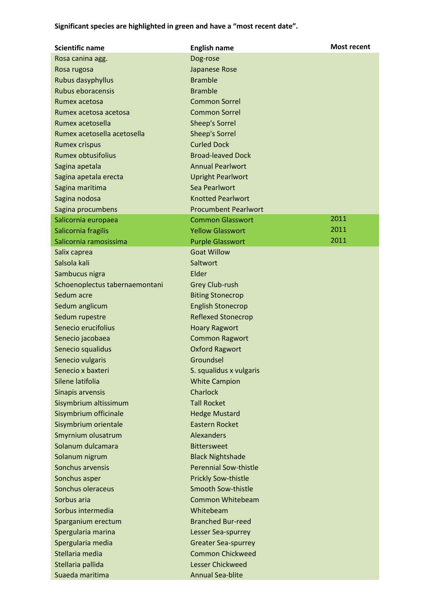| <b>Scientific name</b>         | <b>English name</b>          | <b>Most recent</b> |
|--------------------------------|------------------------------|--------------------|
| Rosa canina agg.               | Dog-rose                     |                    |
| Rosa rugosa                    | Japanese Rose                |                    |
| Rubus dasyphyllus              | <b>Bramble</b>               |                    |
| <b>Rubus eboracensis</b>       | <b>Bramble</b>               |                    |
| <b>Rumex acetosa</b>           | <b>Common Sorrel</b>         |                    |
| Rumex acetosa acetosa          | <b>Common Sorrel</b>         |                    |
| Rumex acetosella               | <b>Sheep's Sorrel</b>        |                    |
| Rumex acetosella acetosella    | <b>Sheep's Sorrel</b>        |                    |
| <b>Rumex crispus</b>           | <b>Curled Dock</b>           |                    |
| <b>Rumex obtusifolius</b>      | <b>Broad-leaved Dock</b>     |                    |
| Sagina apetala                 | <b>Annual Pearlwort</b>      |                    |
| Sagina apetala erecta          | <b>Upright Pearlwort</b>     |                    |
| Sagina maritima                | Sea Pearlwort                |                    |
| Sagina nodosa                  | <b>Knotted Pearlwort</b>     |                    |
| Sagina procumbens              | <b>Procumbent Pearlwort</b>  |                    |
| Salicornia europaea            | <b>Common Glasswort</b>      | 2011               |
| Salicornia fragilis            | <b>Yellow Glasswort</b>      | 2011               |
| Salicornia ramosissima         | <b>Purple Glasswort</b>      | 2011               |
| Salix caprea                   | <b>Goat Willow</b>           |                    |
| Salsola kali                   | Saltwort                     |                    |
| Sambucus nigra                 | Elder                        |                    |
| Schoenoplectus tabernaemontani | <b>Grey Club-rush</b>        |                    |
| Sedum acre                     | <b>Biting Stonecrop</b>      |                    |
| Sedum anglicum                 | <b>English Stonecrop</b>     |                    |
| Sedum rupestre                 | <b>Reflexed Stonecrop</b>    |                    |
| Senecio erucifolius            | <b>Hoary Ragwort</b>         |                    |
| Senecio jacobaea               | <b>Common Ragwort</b>        |                    |
| Senecio squalidus              | <b>Oxford Ragwort</b>        |                    |
| Senecio vulgaris               | Groundsel                    |                    |
| Senecio x baxteri              | S. squalidus x vulgaris      |                    |
| Silene latifolia               | <b>White Campion</b>         |                    |
| Sinapis arvensis               | <b>Charlock</b>              |                    |
| Sisymbrium altissimum          | <b>Tall Rocket</b>           |                    |
| Sisymbrium officinale          | <b>Hedge Mustard</b>         |                    |
| Sisymbrium orientale           | <b>Eastern Rocket</b>        |                    |
| Smyrnium olusatrum             | <b>Alexanders</b>            |                    |
| Solanum dulcamara              | <b>Bittersweet</b>           |                    |
| Solanum nigrum                 | <b>Black Nightshade</b>      |                    |
| Sonchus arvensis               | <b>Perennial Sow-thistle</b> |                    |
| Sonchus asper                  | <b>Prickly Sow-thistle</b>   |                    |
| Sonchus oleraceus              | <b>Smooth Sow-thistle</b>    |                    |
| Sorbus aria                    | <b>Common Whitebeam</b>      |                    |
| Sorbus intermedia              | Whitebeam                    |                    |
| Sparganium erectum             | <b>Branched Bur-reed</b>     |                    |
| Spergularia marina             | Lesser Sea-spurrey           |                    |
| Spergularia media              | <b>Greater Sea-spurrey</b>   |                    |
| Stellaria media                | <b>Common Chickweed</b>      |                    |
| Stellaria pallida              | <b>Lesser Chickweed</b>      |                    |
| Suaeda maritima                | <b>Annual Sea-blite</b>      |                    |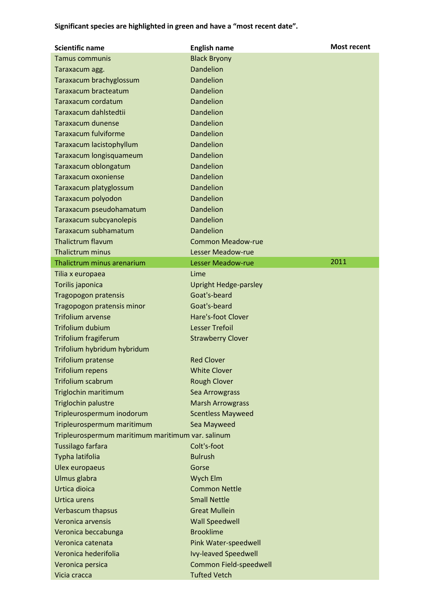| <b>Scientific name</b>                            | <b>English name</b>          | <b>Most recent</b> |
|---------------------------------------------------|------------------------------|--------------------|
| <b>Tamus communis</b>                             | <b>Black Bryony</b>          |                    |
| Taraxacum agg.                                    | <b>Dandelion</b>             |                    |
| Taraxacum brachyglossum                           | <b>Dandelion</b>             |                    |
| Taraxacum bracteatum                              | <b>Dandelion</b>             |                    |
| Taraxacum cordatum                                | <b>Dandelion</b>             |                    |
| Taraxacum dahlstedtii                             | <b>Dandelion</b>             |                    |
| Taraxacum dunense                                 | <b>Dandelion</b>             |                    |
| <b>Taraxacum fulviforme</b>                       | <b>Dandelion</b>             |                    |
| Taraxacum lacistophyllum                          | <b>Dandelion</b>             |                    |
| Taraxacum longisquameum                           | <b>Dandelion</b>             |                    |
| Taraxacum oblongatum                              | <b>Dandelion</b>             |                    |
| Taraxacum oxoniense                               | <b>Dandelion</b>             |                    |
| Taraxacum platyglossum                            | <b>Dandelion</b>             |                    |
| Taraxacum polyodon                                | <b>Dandelion</b>             |                    |
| Taraxacum pseudohamatum                           | <b>Dandelion</b>             |                    |
| Taraxacum subcyanolepis                           | <b>Dandelion</b>             |                    |
| Taraxacum subhamatum                              | <b>Dandelion</b>             |                    |
| <b>Thalictrum flavum</b>                          | <b>Common Meadow-rue</b>     |                    |
| Thalictrum minus                                  | <b>Lesser Meadow-rue</b>     |                    |
| Thalictrum minus arenarium                        | <b>Lesser Meadow-rue</b>     | 2011               |
| Tilia x europaea                                  | Lime                         |                    |
| Torilis japonica                                  | <b>Upright Hedge-parsley</b> |                    |
| Tragopogon pratensis                              | Goat's-beard                 |                    |
| Tragopogon pratensis minor                        | Goat's-beard                 |                    |
| <b>Trifolium arvense</b>                          | Hare's-foot Clover           |                    |
| <b>Trifolium dubium</b>                           | <b>Lesser Trefoil</b>        |                    |
| Trifolium fragiferum                              | <b>Strawberry Clover</b>     |                    |
| Trifolium hybridum hybridum                       |                              |                    |
| <b>Trifolium pratense</b>                         | <b>Red Clover</b>            |                    |
| <b>Trifolium repens</b>                           | <b>White Clover</b>          |                    |
| Trifolium scabrum                                 | <b>Rough Clover</b>          |                    |
| Triglochin maritimum                              | Sea Arrowgrass               |                    |
| Triglochin palustre                               | <b>Marsh Arrowgrass</b>      |                    |
| Tripleurospermum inodorum                         | <b>Scentless Mayweed</b>     |                    |
| Tripleurospermum maritimum                        | Sea Mayweed                  |                    |
| Tripleurospermum maritimum maritimum var. salinum |                              |                    |
| Tussilago farfara                                 | Colt's-foot                  |                    |
| Typha latifolia                                   | <b>Bulrush</b>               |                    |
| Ulex europaeus                                    | Gorse                        |                    |
| Ulmus glabra                                      | Wych Elm                     |                    |
| Urtica dioica                                     | <b>Common Nettle</b>         |                    |
| Urtica urens                                      | <b>Small Nettle</b>          |                    |
| Verbascum thapsus                                 | <b>Great Mullein</b>         |                    |
| Veronica arvensis                                 | <b>Wall Speedwell</b>        |                    |
| Veronica beccabunga                               | <b>Brooklime</b>             |                    |
| Veronica catenata                                 | Pink Water-speedwell         |                    |
| Veronica hederifolia                              | <b>Ivy-leaved Speedwell</b>  |                    |
| Veronica persica                                  | Common Field-speedwell       |                    |
| Vicia cracca                                      | <b>Tufted Vetch</b>          |                    |